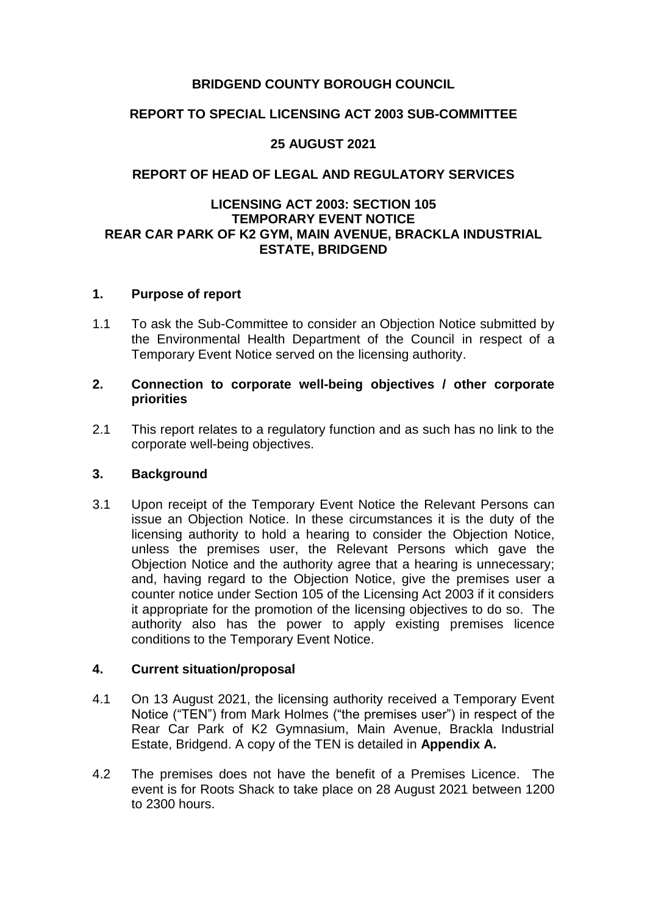## **BRIDGEND COUNTY BOROUGH COUNCIL**

## **REPORT TO SPECIAL LICENSING ACT 2003 SUB-COMMITTEE**

### **25 AUGUST 2021**

### **REPORT OF HEAD OF LEGAL AND REGULATORY SERVICES**

### **LICENSING ACT 2003: SECTION 105 TEMPORARY EVENT NOTICE REAR CAR PARK OF K2 GYM, MAIN AVENUE, BRACKLA INDUSTRIAL ESTATE, BRIDGEND**

#### **1. Purpose of report**

1.1 To ask the Sub-Committee to consider an Objection Notice submitted by the Environmental Health Department of the Council in respect of a Temporary Event Notice served on the licensing authority.

#### **2. Connection to corporate well-being objectives / other corporate priorities**

2.1 This report relates to a regulatory function and as such has no link to the corporate well-being objectives.

### **3. Background**

3.1 Upon receipt of the Temporary Event Notice the Relevant Persons can issue an Objection Notice. In these circumstances it is the duty of the licensing authority to hold a hearing to consider the Objection Notice, unless the premises user, the Relevant Persons which gave the Objection Notice and the authority agree that a hearing is unnecessary; and, having regard to the Objection Notice, give the premises user a counter notice under Section 105 of the Licensing Act 2003 if it considers it appropriate for the promotion of the licensing objectives to do so. The authority also has the power to apply existing premises licence conditions to the Temporary Event Notice.

### **4. Current situation/proposal**

- 4.1 On 13 August 2021, the licensing authority received a Temporary Event Notice ("TEN") from Mark Holmes ("the premises user") in respect of the Rear Car Park of K2 Gymnasium, Main Avenue, Brackla Industrial Estate, Bridgend. A copy of the TEN is detailed in **Appendix A.**
- 4.2 The premises does not have the benefit of a Premises Licence. The event is for Roots Shack to take place on 28 August 2021 between 1200 to 2300 hours.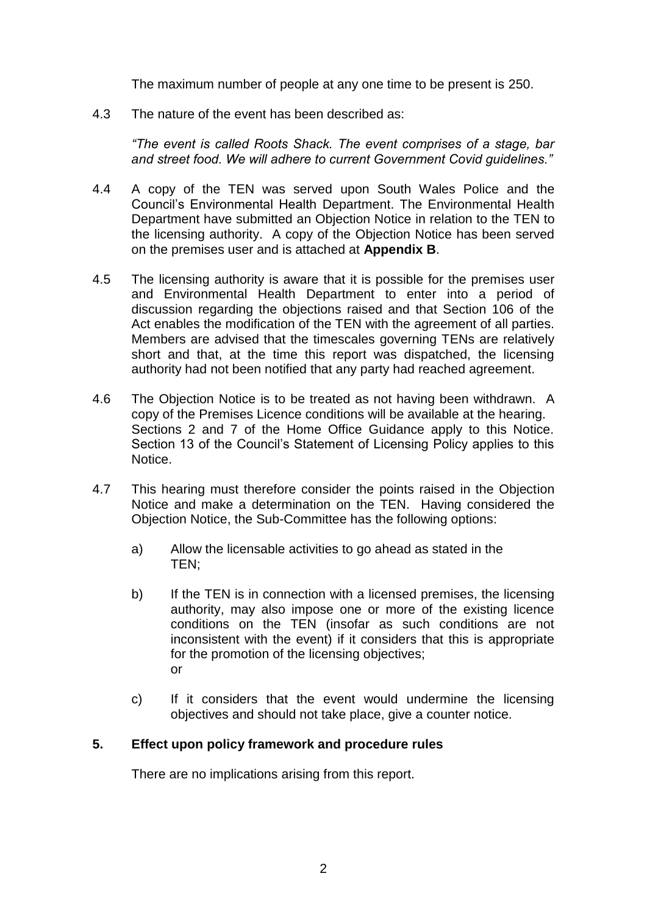The maximum number of people at any one time to be present is 250.

4.3 The nature of the event has been described as:

*"The event is called Roots Shack. The event comprises of a stage, bar and street food. We will adhere to current Government Covid guidelines."*

- 4.4 A copy of the TEN was served upon South Wales Police and the Council's Environmental Health Department. The Environmental Health Department have submitted an Objection Notice in relation to the TEN to the licensing authority. A copy of the Objection Notice has been served on the premises user and is attached at **Appendix B**.
- 4.5 The licensing authority is aware that it is possible for the premises user and Environmental Health Department to enter into a period of discussion regarding the objections raised and that Section 106 of the Act enables the modification of the TEN with the agreement of all parties. Members are advised that the timescales governing TENs are relatively short and that, at the time this report was dispatched, the licensing authority had not been notified that any party had reached agreement.
- 4.6 The Objection Notice is to be treated as not having been withdrawn. A copy of the Premises Licence conditions will be available at the hearing. Sections 2 and 7 of the Home Office Guidance apply to this Notice. Section 13 of the Council's Statement of Licensing Policy applies to this Notice.
- 4.7 This hearing must therefore consider the points raised in the Objection Notice and make a determination on the TEN. Having considered the Objection Notice, the Sub-Committee has the following options:
	- a) Allow the licensable activities to go ahead as stated in the TEN;
	- b) If the TEN is in connection with a licensed premises, the licensing authority, may also impose one or more of the existing licence conditions on the TEN (insofar as such conditions are not inconsistent with the event) if it considers that this is appropriate for the promotion of the licensing objectives; or
	- c) If it considers that the event would undermine the licensing objectives and should not take place, give a counter notice.

## **5. Effect upon policy framework and procedure rules**

There are no implications arising from this report.